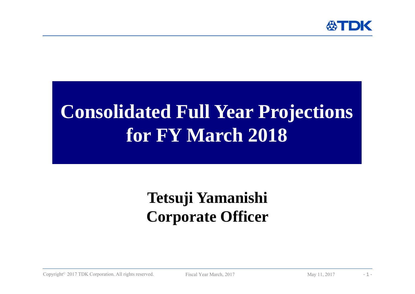

## **Consolidated Full Year Projections for FY March 2018**

## **Tetsuji Yamanishi Corporate Officer**

Copyright<sup>©</sup> 2017 TDK Corporation. All rights reserved. Fiscal Year March, 2017 May 11, 2017 -1 -1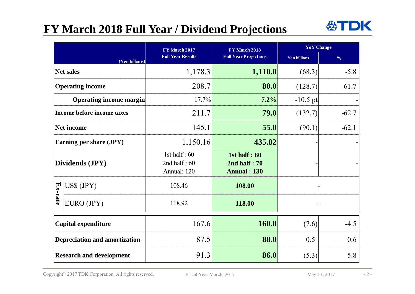## **FY March 2018 Full Year / Dividend Projections**



|                                      |                                | FY March 2017                                   | FY March 2018                                             | <b>YoY</b> Change   |               |
|--------------------------------------|--------------------------------|-------------------------------------------------|-----------------------------------------------------------|---------------------|---------------|
|                                      | (Yen billions)                 | <b>Full Year Results</b>                        | <b>Full Year Projections</b>                              | <b>Yen billions</b> | $\frac{0}{6}$ |
| <b>Net sales</b>                     |                                | 1,178.3                                         | 1,110.0                                                   | (68.3)              | $-5.8$        |
| <b>Operating income</b>              |                                | 208.7                                           | 80.0                                                      | (128.7)             | $-61.7$       |
|                                      | <b>Operating income margin</b> | 17.7%                                           | 7.2%                                                      | $-10.5$ pt          |               |
|                                      | Income before income taxes     | 211.7                                           | 79.0                                                      | (132.7)             | $-62.7$       |
| Net income                           |                                | 145.1                                           | 55.0                                                      | (90.1)              | $-62.1$       |
| Earning per share (JPY)              |                                | 1,150.16                                        | 435.82                                                    |                     |               |
| Dividends (JPY)                      |                                | 1st half: $60$<br>2nd half: $60$<br>Annual: 120 | <b>1st half: 60</b><br>2nd half: 70<br><b>Annual: 130</b> |                     |               |
|                                      | US\$ (JPY)                     | 108.46                                          | 108.00                                                    |                     |               |
| Ex-rate                              | EURO (JPY)                     | 118.92                                          | 118.00                                                    |                     |               |
| <b>Capital expenditure</b>           |                                | 167.6                                           | 160.0                                                     | (7.6)               | $-4.5$        |
| <b>Depreciation and amortization</b> |                                | 87.5                                            | 88.0                                                      | 0.5                 | 0.6           |
| <b>Research and development</b>      |                                | 91.3                                            | 86.0                                                      | (5.3)               | $-5.8$        |

Copyright<sup>©</sup> 2017 TDK Corporation. All rights reserved. Fiscal Year March, 2017 May 11, 2017 -2-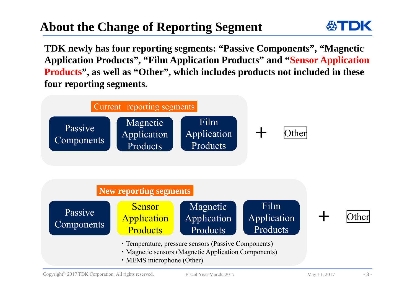## **About the Change of Reporting Segment**



**TDK newly has four reporting segments: "Passive Components", "Magnetic Application Products", "Film Application Products" and "Sensor Application Products", as well as "Other", which includes products not included in these four reporting segments.**



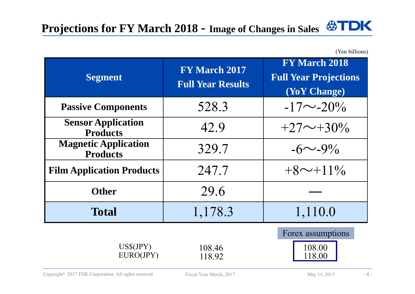(Yen billions)

| <b>Segment</b>                                 | <b>FY March 2017</b><br><b>Full Year Results</b> | <b>FY March 2018</b><br><b>Full Year Projections</b><br>(YoY Change) |  |
|------------------------------------------------|--------------------------------------------------|----------------------------------------------------------------------|--|
| <b>Passive Components</b>                      | 528.3                                            | $-17\sim -20\%$                                                      |  |
| <b>Sensor Application</b><br><b>Products</b>   | 42.9                                             | $+27\sim+30\%$                                                       |  |
| <b>Magnetic Application</b><br><b>Products</b> | 329.7                                            | $-6 \sim -9\%$                                                       |  |
| <b>Film Application Products</b>               | 247.7                                            | $+8$ ~+11%                                                           |  |
| <b>Other</b>                                   | 29.6                                             |                                                                      |  |
| <b>Total</b>                                   | 1,178.3                                          | 1,110.0                                                              |  |
| $US\$(JPY)$<br>EURO(JPY)                       | 108.46<br>118.92                                 | Forex assumptions<br>108.00<br>118.00                                |  |

Copyright<sup>©</sup> 2017 TDK Corporation. All rights reserved. Fiscal Year March, 2017 May 11, 2017 -4 -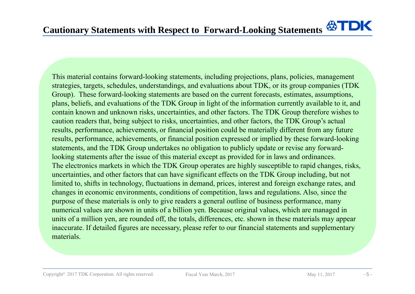This material contains forward-looking statements, including projections, plans, policies, management strategies, targets, schedules, understandings, and evaluations about TDK, or its group companies (TDK Group). These forward-looking statements are based on the current forecasts, estimates, assumptions, plans, beliefs, and evaluations of the TDK Group in light of the information currently available to it, and contain known and unknown risks, uncertainties, and other factors. The TDK Group therefore wishes to caution readers that, being subject to risks, uncertainties, and other factors, the TDK Group's actual results, performance, achievements, or financial position could be materially different from any future results, performance, achievements, or financial position expressed or implied by these forward-looking statements, and the TDK Group undertakes no obligation to publicly update or revise any forwardlooking statements after the issue of this material except as provided for in laws and ordinances. The electronics markets in which the TDK Group operates are highly susceptible to rapid changes, risks, uncertainties, and other factors that can have significant effects on the TDK Group including, but not limited to, shifts in technology, fluctuations in demand, prices, interest and foreign exchange rates, and changes in economic environments, conditions of competition, laws and regulations. Also, since the purpose of these materials is only to give readers a general outline of business performance, many numerical values are shown in units of a billion yen. Because original values, which are managed in units of a million yen, are rounded off, the totals, differences, etc. shown in these materials may appear inaccurate. If detailed figures are necessary, please refer to our financial statements and supplementary materials.